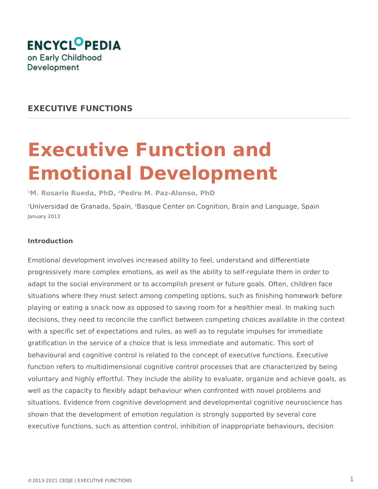

## **EXECUTIVE FUNCTIONS**

# **Executive Function and Emotional Development**

**<sup>1</sup>M. Rosario Rueda, PhD, 2Pedro M. Paz-Alonso, PhD**

<sup>1</sup>Universidad de Granada, Spain, <sup>2</sup>Basque Center on Cognition, Brain and Language, Spain January 2013

### **Introduction**

Emotional development involves increased ability to feel, understand and differentiate progressively more complex emotions, as well as the ability to self-regulate them in order to adapt to the social environment or to accomplish present or future goals. Often, children face situations where they must select among competing options, such as finishing homework before playing or eating a snack now as opposed to saving room for a healthier meal. In making such decisions, they need to reconcile the conflict between competing choices available in the context with a specific set of expectations and rules, as well as to regulate impulses for immediate gratification in the service of a choice that is less immediate and automatic. This sort of behavioural and cognitive control is related to the concept of executive functions. Executive function refers to multidimensional cognitive control processes that are characterized by being voluntary and highly effortful. They include the ability to evaluate, organize and achieve goals, as well as the capacity to flexibly adapt behaviour when confronted with novel problems and situations. Evidence from cognitive development and developmental cognitive neuroscience has shown that the development of emotion regulation is strongly supported by several core executive functions, such as attention control, inhibition of inappropriate behaviours, decision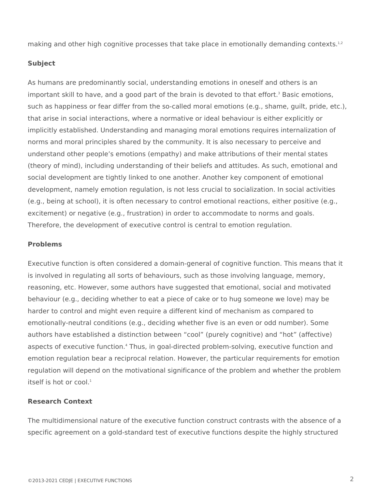making and other high cognitive processes that take place in emotionally demanding contexts.<sup>1,2</sup>

## **Subject**

As humans are predominantly social, understanding emotions in oneself and others is an important skill to have, and a good part of the brain is devoted to that effort.<sup>3</sup> Basic emotions, such as happiness or fear differ from the so-called moral emotions (e.g., shame, guilt, pride, etc.), that arise in social interactions, where a normative or ideal behaviour is either explicitly or implicitly established. Understanding and managing moral emotions requires internalization of norms and moral principles shared by the community. It is also necessary to perceive and understand other people's emotions (empathy) and make attributions of their mental states (theory of mind), including understanding of their beliefs and attitudes. As such, emotional and social development are tightly linked to one another. Another key component of emotional development, namely emotion regulation, is not less crucial to socialization. In social activities (e.g., being at school), it is often necessary to control emotional reactions, either positive (e.g., excitement) or negative (e.g., frustration) in order to accommodate to norms and goals. Therefore, the development of executive control is central to emotion regulation.

## **Problems**

Executive function is often considered a domain-general of cognitive function. This means that it is involved in regulating all sorts of behaviours, such as those involving language, memory, reasoning, etc. However, some authors have suggested that emotional, social and motivated behaviour (e.g., deciding whether to eat a piece of cake or to hug someone we love) may be harder to control and might even require a different kind of mechanism as compared to emotionally-neutral conditions (e.g., deciding whether five is an even or odd number). Some authors have established a distinction between "cool" (purely cognitive) and "hot" (affective) aspects of executive function.<sup>4</sup> Thus, in goal-directed problem-solving, executive function and emotion regulation bear a reciprocal relation. However, the particular requirements for emotion regulation will depend on the motivational significance of the problem and whether the problem  $its$ elf is hot or cool.<sup>1</sup>

## **Research Context**

The multidimensional nature of the executive function construct contrasts with the absence of a specific agreement on a gold-standard test of executive functions despite the highly structured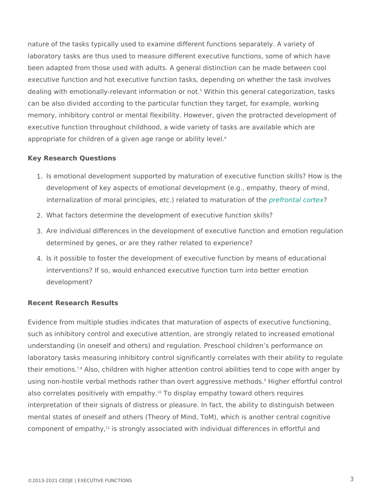nature of the tasks typically used to examine different functions separately laboratory tasks are thus used to measure different executive functions, so been adapted from those used with adults. A general distinction can be mad executive function and hot executive function tasks, depending on whether dealing with emotionally-relevant infor Whiat this om to nie ral categorization, ta can be also divided according to the particular function they target, for example, memory, inhibitory control or mental flexibility. However, given the protract executive function throughout childhood, a wide variety of tasks are availal appropriate for children of a given age range or ability level.

#### Key Research Questions

- 1. Is emotional development supported by maturation of executive functior development of key aspects of emotional development (e.g., empathy, t internalization of moral principles, etc.) related ptroe fm antuhanatio  $\theta$  ntest the
- 2.What factors determine the development of executive function skills?
- 3. Are individual differences in the development of executive function and determined by genes, or are they rather related to experience?
- 4. Is it possible to foster the development of executive function by means interventions? If so, would enhanced executive function turn into better development?

Recent Research Results

Evidence from multiple studies indicates that maturation of aspects of exec such as inhibitory control and executive attention, are strongly related to i understanding (in oneself and others) and regulation. Preschool children s laboratory tasks measuring inhibitory control significantly correlates with t their emotion policity children with higher attention control abilities tend to co using non-hostile verbal methods rather than overt <sup>9</sup> algiggrhees nievfeform teftuhlood osntrol also correlates positively with Temdpsphayy empathy toward others requires interpretation of their signals of distress or pleasure. In fact, the ability to mental states of oneself and others (Theory of Mind, ToM), which is anothe component of empaith strongly associated with individual differences in effor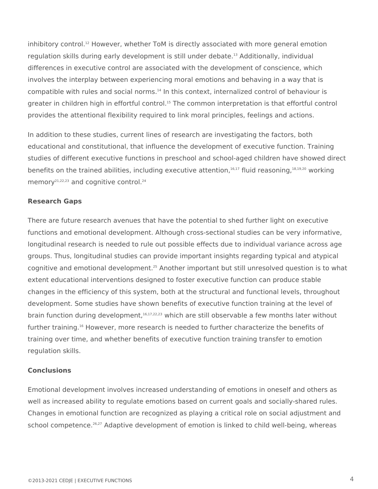inhibitory control.<sup>12</sup> However, whether ToM is directly associated with more general emotion regulation skills during early development is still under debate.13 Additionally, individual differences in executive control are associated with the development of conscience, which involves the interplay between experiencing moral emotions and behaving in a way that is compatible with rules and social norms.<sup>14</sup> In this context, internalized control of behaviour is greater in children high in effortful control.15 The common interpretation is that effortful control provides the attentional flexibility required to link moral principles, feelings and actions.

In addition to these studies, current lines of research are investigating the factors, both educational and constitutional, that influence the development of executive function. Training studies of different executive functions in preschool and school-aged children have showed direct benefits on the trained abilities, including executive attention,<sup>16,17</sup> fluid reasoning,<sup>18,19,20</sup> working memory<sup>21,22,23</sup> and cognitive control.<sup>24</sup>

## **Research Gaps**

There are future research avenues that have the potential to shed further light on executive functions and emotional development. Although cross-sectional studies can be very informative, longitudinal research is needed to rule out possible effects due to individual variance across age groups. Thus, longitudinal studies can provide important insights regarding typical and atypical cognitive and emotional development.<sup>25</sup> Another important but still unresolved question is to what extent educational interventions designed to foster executive function can produce stable changes in the efficiency of this system, both at the structural and functional levels, throughout development. Some studies have shown benefits of executive function training at the level of brain function during development,<sup>16,17,22,23</sup> which are still observable a few months later without further training.<sup>16</sup> However, more research is needed to further characterize the benefits of training over time, and whether benefits of executive function training transfer to emotion regulation skills.

## **Conclusions**

Emotional development involves increased understanding of emotions in oneself and others as well as increased ability to regulate emotions based on current goals and socially-shared rules. Changes in emotional function are recognized as playing a critical role on social adjustment and school competence.<sup>26,27</sup> Adaptive development of emotion is linked to child well-being, whereas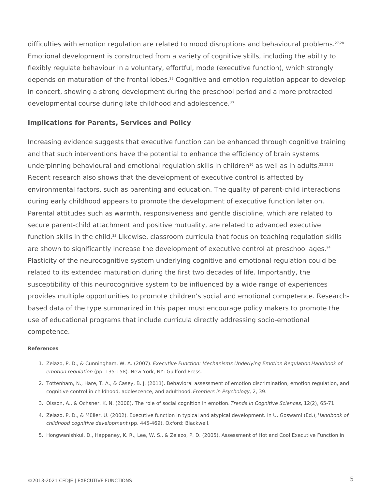difficulties with emotion regulation are related to mood disruptions and behavioural problems.<sup>27,28</sup> Emotional development is constructed from a variety of cognitive skills, including the ability to flexibly regulate behaviour in a voluntary, effortful, mode (executive function), which strongly depends on maturation of the frontal lobes.<sup>29</sup> Cognitive and emotion regulation appear to develop in concert, showing a strong development during the preschool period and a more protracted developmental course during late childhood and adolescence.<sup>30</sup>

## **Implications for Parents, Services and Policy**

Increasing evidence suggests that executive function can be enhanced through cognitive training and that such interventions have the potential to enhance the efficiency of brain systems underpinning behavioural and emotional regulation skills in children<sup>16</sup> as well as in adults.<sup>23,31,32</sup> Recent research also shows that the development of executive control is affected by environmental factors, such as parenting and education. The quality of parent-child interactions during early childhood appears to promote the development of executive function later on. Parental attitudes such as warmth, responsiveness and gentle discipline, which are related to secure parent-child attachment and positive mutuality, are related to advanced executive function skills in the child.<sup>33</sup> Likewise, classroom curricula that focus on teaching regulation skills are shown to significantly increase the development of executive control at preschool ages.<sup>24</sup> Plasticity of the neurocognitive system underlying cognitive and emotional regulation could be related to its extended maturation during the first two decades of life. Importantly, the susceptibility of this neurocognitive system to be influenced by a wide range of experiences provides multiple opportunities to promote children's social and emotional competence. Researchbased data of the type summarized in this paper must encourage policy makers to promote the use of educational programs that include curricula directly addressing socio-emotional competence.

#### **References**

- 1. Zelazo, P. D., & Cunningham, W. A. (2007). *Executive Function: Mechanisms Underlying Emotion Regulation Handbook of emotion regulation* (pp. 135-158). New York, NY: Guilford Press.
- 2. Tottenham, N., Hare, T. A., & Casey, B. J. (2011). Behavioral assessment of emotion discrimination, emotion regulation, and cognitive control in childhood, adolescence, and adulthood. *Frontiers in Psychology*, 2, 39.
- 3. Olsson, A., & Ochsner, K. N. (2008). The role of social cognition in emotion. *Trends in Cognitive Sciences*, 12(2), 65-71.
- 4. Zelazo, P. D., & Müller, U. (2002). Executive function in typical and atypical development. In U. Goswami (Ed.), *Handbook of childhood cognitive development* (pp. 445-469). Oxford: Blackwell.
- 5. Hongwanishkul, D., Happaney, K. R., Lee, W. S., & Zelazo, P. D. (2005). Assessment of Hot and Cool Executive Function in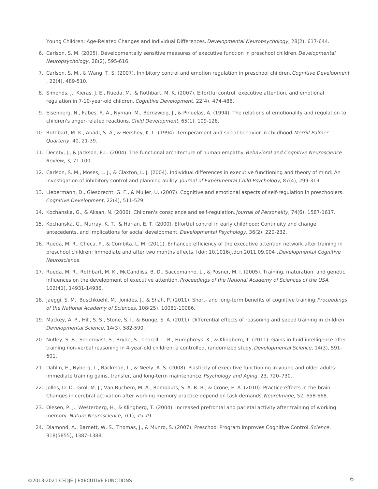Young Children: Age-Related Changes and Individual Differences. *Developmental Neuropsychology*, 28(2), 617-644.

- 6. Carlson, S. M. (2005). Developmentally sensitive measures of executive function in preschool children. *Developmental*  , 28(2), 595-616. *Neuropsychology*
- 7. Carlson, S. M., & Wang, T. S. (2007). Inhibitory control and emotion regulation in preschool children. *Cognitive Development* , 22(4), 489-510.
- 8. Simonds, J., Kieras, J. E., Rueda, M., & Rothbart, M. K. (2007). Effortful control, executive attention, and emotional regulation in 7-10-year-old children. *Cognitive Development*, 22(4), 474-488.
- 9. Eisenberg, N., Fabes, R. A., Nyman, M., Bernzweig, J., & Pinuelas, A. (1994). The relations of emotionality and regulation to children's anger-related reactions. *Child Development*, 65(1), 109-128.
- 10. Rothbart, M. K., Ahadi, S. A., & Hershey, K. L. (1994). Temperament and social behavior in childhood. *Merrill-Palmer*  , 40, 21-39. *Quarterly*
- 11. Decety, J., & Jackson, P.L. (2004). The functional architecture of human empathy. *Behavioral and Cognitive Neuroscience*  , 3, 71-100. *Review*
- 12. Carlson, S. M., Moses, L. J., & Claxton, L. J. (2004). Individual differences in executive functioning and theory of mind: An investigation of inhibitory control and planning ability. *Journal of Experimental Child Psychology*, 87(4), 299-319.
- 13. Liebermann, D., Giesbrecht, G. F., & Muller, U. (2007). Cognitive and emotional aspects of self-regulation in preschoolers. *Cognitive Development*, 22(4), 511-529.
- 14. Kochanska, G., & Aksan, N. (2006). Children's conscience and self-regulation. *Journal of Personality*, 74(6), 1587-1617.
- 15. Kochanska, G., Murray, K. T., & Harlan, E. T. (2000). Effortful control in early childhood: Continuity and change, antecedents, and implications for social development. *Developmental Psychology*, 36(2), 220-232.
- 16. Rueda, M. R., Checa, P., & Combita, L. M. (2011). Enhanced efficiency of the executive attention network after training in preschool children: Immediate and after two months effects. [doi: 10.1016/j.dcn.2011.09.004]. *Developmental Cognitive*  . *Neuroscience*
- 17. Rueda, M. R., Rothbart, M. K., McCandliss, B. D., Saccomanno, L., & Posner, M. I. (2005). Training, maturation, and genetic influences on the development of executive attention. Proceedings of the National Academy of Sciences of the USA, 102(41), 14931-14936.
- 18. Jaeggi, S. M., Buschkuehl, M., Jonides, J., & Shah, P. (2011). Short- and long-term benefits of cognitive training. *Proceedings*  , 108(25), 10081-10086. *of the National Academy of Sciences*
- 19. Mackey, A. P., Hill, S. S., Stone, S. I., & Bunge, S. A. (2011). Differential effects of reasoning and speed training in children. *Developmental Science*, 14(3), 582-590.
- 20. Nutley, S. B., Soderqvist, S., Bryde, S., Thorell, L. B., Humphreys, K., & Klingberg, T. (2011). Gains in fluid intelligence after training non-verbal reasoning in 4-year-old children: a controlled, randomized study. Developmental Science, 14(3), 591-601.
- 21. Dahlin, E., Nyberg, L., Bäckman, L., & Neely, A. S. (2008). Plasticity of executive functioning in young and older adults: immediate training gains, transfer, and long-term maintenance. *Psychology and Aging*, 23, 720–730.
- 22. Jolles, D. D., Grol, M. J., Van Buchem, M. A., Rombouts, S. A. R. B., & Crone, E. A. (2010). Practice effects in the brain: Changes in cerebral activation after working memory practice depend on task demands. *NeuroImage*, 52, 658-668.
- 23. Olesen, P. J., Westerberg, H., & Klingberg, T. (2004). Increased prefrontal and parietal activity after training of working memory. *Nature Neuroscience*, 7(1), 75-79.
- 24. Diamond, A., Barnett, W. S., Thomas, J., & Munro, S. (2007). Preschool Program Improves Cognitive Control. Science, 318(5855), 1387-1388.